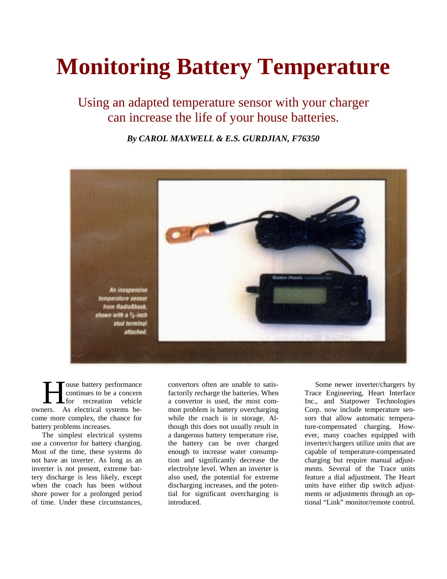## **Monitoring Battery Temperature**

Using an adapted temperature sensor with your charger can increase the life of your house batteries.

*By CAROL MAXWELL & E.S. GURDJIAN, F76350*



ouse battery performance continues to be a concern for recreation vehicle Touse battery performance<br>
continues to be a concern<br>
for recreation vehicle<br>
owners. As electrical systems become more complex, the chance for battery problems increases.

The simplest electrical systems use a convertor for battery charging. Most of the time, these systems do not have an inverter. As long as an inverter is not present, extreme battery discharge is less likely, except when the coach has been without shore power for a prolonged period of time. Under these circumstances,

convertors often are unable to satisfactorily recharge the batteries. When a convertor is used, the most common problem is battery overcharging while the coach is in storage. Although this does not usually result in a dangerous battery temperature rise, the battery can be over charged enough to increase water consumption and significantly decrease the electrolyte level. When an inverter is also used, the potential for extreme discharging increases, and the potential for significant overcharging is introduced.

Some newer inverter/chargers by Trace Engineering, Heart Interface Inc., and Statpower Technologies Corp. now include temperature sensors that allow automatic temperature-compensated charging. However, many coaches equipped with inverter/chargers utilize units that are capable of temperature-compensated charging but require manual adjustments. Several of the Trace units feature a dial adjustment. The Heart units have either dip switch adjustments or adjustments through an optional "Link" monitor/remote control.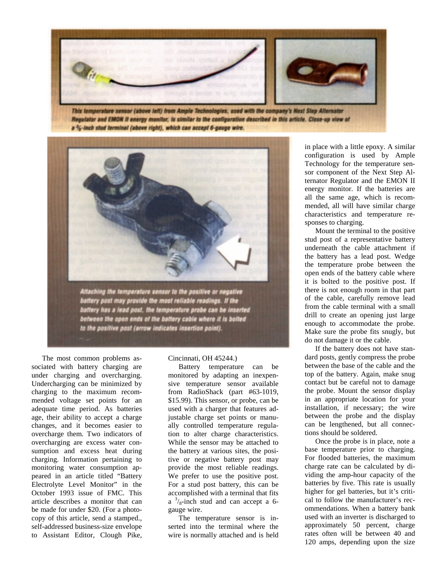

This temperature sensor (above left) from Ample Technologies, used with the company's Next Step Alternator Regulator and EMON II energy monitor, is similar to the configuration described in this article. Close-up view of a %-inch stud terminal (above right), which can accept 6-gauge wire.



battery post may provide the most reliable readings. If the<br>battery has a lead post, the temperature probe can be inserted between the open ends of the battery cable where it is bolted to the positive post (arrow indicates insertion point).

The most common problems associated with battery charging are under charging and overcharging. Undercharging can be minimized by charging to the maximum recommended voltage set points for an adequate time period. As batteries age, their ability to accept a charge changes, and it becomes easier to overcharge them. Two indicators of overcharging are excess water consumption and excess heat during charging. Information pertaining to monitoring water consumption appeared in an article titled "Battery Electrolyte Level Monitor" in the October 1993 issue of FMC. This article describes a monitor that can be made for under \$20. (For a photocopy of this article, send a stamped., self-addressed business-size envelope to Assistant Editor, Clough Pike,

## Cincinnati, OH 45244.)

Battery temperature can be monitored by adapting an inexpensive temperature sensor available from RadioShack (part #63-1019, \$15.99). This sensor, or probe, can be used with a charger that features adjustable charge set points or manually controlled temperature regulation to alter charge characteristics. While the sensor may be attached to the battery at various sites, the positive or negative battery post may provide the most reliable readings. We prefer to use the positive post. For a stud post battery, this can be accomplished with a terminal that fits  $a^{3}/a$ -inch stud and can accept a 6gauge wire.

The temperature sensor is inserted into the terminal where the wire is normally attached and is held

in place with a little epoxy. A similar configuration is used by Ample Technology for the temperature sensor component of the Next Step Alternator Regulator and the EMON II energy monitor. If the batteries are all the same age, which is recommended, all will have similar charge characteristics and temperature responses to charging.

Mount the terminal to the positive stud post of a representative battery underneath the cable attachment if the battery has a lead post. Wedge the temperature probe between the open ends of the battery cable where it is bolted to the positive post. If there is not enough room in that part of the cable, carefully remove lead from the cable terminal with a small drill to create an opening just large enough to accommodate the probe. Make sure the probe fits snugly, but do not damage it or the cable.

If the battery does not have standard posts, gently compress the probe between the base of the cable and the top of the battery. Again, make snug contact but be careful not to damage the probe. Mount the sensor display in an appropriate location for your installation, if necessary; the wire between the probe and the display can be lengthened, but all connections should be soldered.

Once the probe is in place, note a base temperature prior to charging. For flooded batteries, the maximum charge rate can be calculated by dividing the amp-hour capacity of the batteries by five. This rate is usually higher for gel batteries, but it's critical to follow the manufacturer's recommendations. When a battery bank used with an inverter is discharged to approximately 50 percent, charge rates often will be between 40 and 120 amps, depending upon the size